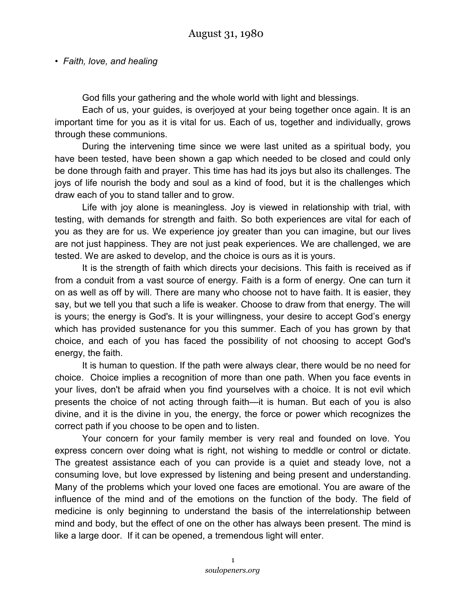## *• Faith, love, and healing*

God fills your gathering and the whole world with light and blessings.

Each of us, your guides, is overjoyed at your being together once again. It is an important time for you as it is vital for us. Each of us, together and individually, grows through these communions.

During the intervening time since we were last united as a spiritual body, you have been tested, have been shown a gap which needed to be closed and could only be done through faith and prayer. This time has had its joys but also its challenges. The joys of life nourish the body and soul as a kind of food, but it is the challenges which draw each of you to stand taller and to grow.

Life with joy alone is meaningless. Joy is viewed in relationship with trial, with testing, with demands for strength and faith. So both experiences are vital for each of you as they are for us. We experience joy greater than you can imagine, but our lives are not just happiness. They are not just peak experiences. We are challenged, we are tested. We are asked to develop, and the choice is ours as it is yours.

It is the strength of faith which directs your decisions. This faith is received as if from a conduit from a vast source of energy. Faith is a form of energy. One can turn it on as well as off by will. There are many who choose not to have faith. It is easier, they say, but we tell you that such a life is weaker. Choose to draw from that energy. The will is yours; the energy is God's. It is your willingness, your desire to accept God's energy which has provided sustenance for you this summer. Each of you has grown by that choice, and each of you has faced the possibility of not choosing to accept God's energy, the faith.

It is human to question. If the path were always clear, there would be no need for choice. Choice implies a recognition of more than one path. When you face events in your lives, don't be afraid when you find yourselves with a choice. It is not evil which presents the choice of not acting through faith—it is human. But each of you is also divine, and it is the divine in you, the energy, the force or power which recognizes the correct path if you choose to be open and to listen.

Your concern for your family member is very real and founded on love. You express concern over doing what is right, not wishing to meddle or control or dictate. The greatest assistance each of you can provide is a quiet and steady love, not a consuming love, but love expressed by listening and being present and understanding. Many of the problems which your loved one faces are emotional. You are aware of the influence of the mind and of the emotions on the function of the body. The field of medicine is only beginning to understand the basis of the interrelationship between mind and body, but the effect of one on the other has always been present. The mind is like a large door. If it can be opened, a tremendous light will enter.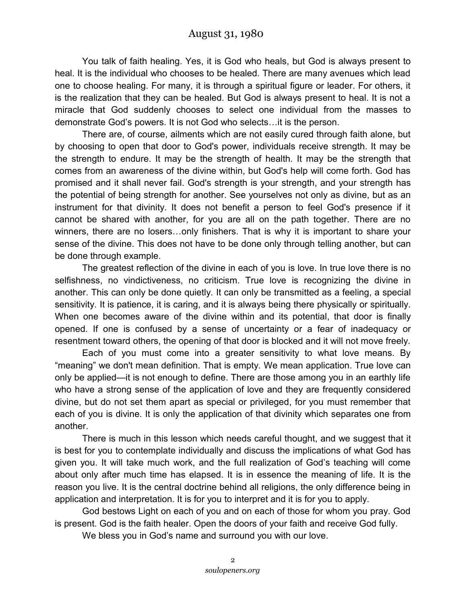You talk of faith healing. Yes, it is God who heals, but God is always present to heal. It is the individual who chooses to be healed. There are many avenues which lead one to choose healing. For many, it is through a spiritual figure or leader. For others, it is the realization that they can be healed. But God is always present to heal. It is not a miracle that God suddenly chooses to select one individual from the masses to demonstrate God's powers. It is not God who selects…it is the person.

There are, of course, ailments which are not easily cured through faith alone, but by choosing to open that door to God's power, individuals receive strength. It may be the strength to endure. It may be the strength of health. It may be the strength that comes from an awareness of the divine within, but God's help will come forth. God has promised and it shall never fail. God's strength is your strength, and your strength has the potential of being strength for another. See yourselves not only as divine, but as an instrument for that divinity. It does not benefit a person to feel God's presence if it cannot be shared with another, for you are all on the path together. There are no winners, there are no losers…only finishers. That is why it is important to share your sense of the divine. This does not have to be done only through telling another, but can be done through example.

The greatest reflection of the divine in each of you is love. In true love there is no selfishness, no vindictiveness, no criticism. True love is recognizing the divine in another. This can only be done quietly. It can only be transmitted as a feeling, a special sensitivity. It is patience, it is caring, and it is always being there physically or spiritually. When one becomes aware of the divine within and its potential, that door is finally opened. If one is confused by a sense of uncertainty or a fear of inadequacy or resentment toward others, the opening of that door is blocked and it will not move freely.

Each of you must come into a greater sensitivity to what love means. By "meaning" we don't mean definition. That is empty. We mean application. True love can only be applied—it is not enough to define. There are those among you in an earthly life who have a strong sense of the application of love and they are frequently considered divine, but do not set them apart as special or privileged, for you must remember that each of you is divine. It is only the application of that divinity which separates one from another.

There is much in this lesson which needs careful thought, and we suggest that it is best for you to contemplate individually and discuss the implications of what God has given you. It will take much work, and the full realization of God's teaching will come about only after much time has elapsed. It is in essence the meaning of life. It is the reason you live. It is the central doctrine behind all religions, the only difference being in application and interpretation. It is for you to interpret and it is for you to apply.

God bestows Light on each of you and on each of those for whom you pray. God is present. God is the faith healer. Open the doors of your faith and receive God fully.

We bless you in God's name and surround you with our love.